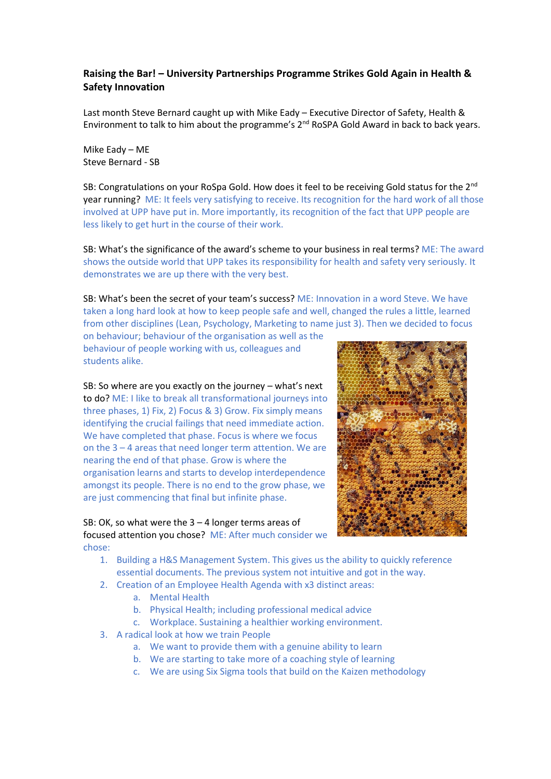## **Raising the Bar! – University Partnerships Programme Strikes Gold Again in Health & Safety Innovation**

Last month Steve Bernard caught up with Mike Eady – Executive Director of Safety, Health & Environment to talk to him about the programme's 2<sup>nd</sup> RoSPA Gold Award in back to back years.

Mike Eady – ME Steve Bernard - SB

SB: Congratulations on your RoSpa Gold. How does it feel to be receiving Gold status for the 2<sup>nd</sup> year running? ME: It feels very satisfying to receive. Its recognition for the hard work of all those involved at UPP have put in. More importantly, its recognition of the fact that UPP people are less likely to get hurt in the course of their work.

SB: What's the significance of the award's scheme to your business in real terms? ME: The award shows the outside world that UPP takes its responsibility for health and safety very seriously. It demonstrates we are up there with the very best.

SB: What's been the secret of your team's success? ME: Innovation in a word Steve. We have taken a long hard look at how to keep people safe and well, changed the rules a little, learned from other disciplines (Lean, Psychology, Marketing to name just 3). Then we decided to focus

on behaviour; behaviour of the organisation as well as the behaviour of people working with us, colleagues and students alike.

SB: So where are you exactly on the journey – what's next to do? ME: I like to break all transformational journeys into three phases, 1) Fix, 2) Focus & 3) Grow. Fix simply means identifying the crucial failings that need immediate action. We have completed that phase. Focus is where we focus on the 3 – 4 areas that need longer term attention. We are nearing the end of that phase. Grow is where the organisation learns and starts to develop interdependence amongst its people. There is no end to the grow phase, we are just commencing that final but infinite phase.

## SB: OK, so what were the 3 – 4 longer terms areas of focused attention you chose? ME: After much consider we chose:



- 1. Building a H&S Management System. This gives us the ability to quickly reference essential documents. The previous system not intuitive and got in the way.
- 2. Creation of an Employee Health Agenda with x3 distinct areas:
	- a. Mental Health
	- b. Physical Health; including professional medical advice
	- c. Workplace. Sustaining a healthier working environment.
- 3. A radical look at how we train People
	- a. We want to provide them with a genuine ability to learn
	- b. We are starting to take more of a coaching style of learning
	- c. We are using Six Sigma tools that build on the Kaizen methodology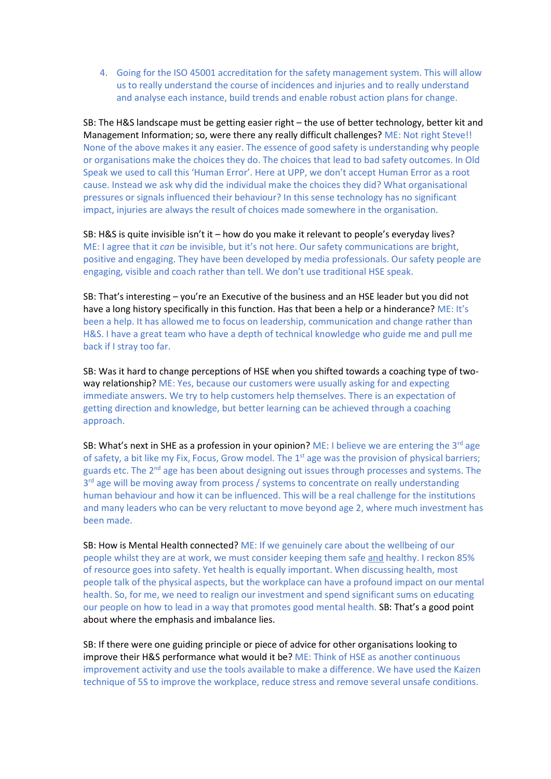4. Going for the ISO 45001 accreditation for the safety management system. This will allow us to really understand the course of incidences and injuries and to really understand and analyse each instance, build trends and enable robust action plans for change.

SB: The H&S landscape must be getting easier right – the use of better technology, better kit and Management Information; so, were there any really difficult challenges? ME: Not right Steve!! None of the above makes it any easier. The essence of good safety is understanding why people or organisations make the choices they do. The choices that lead to bad safety outcomes. In Old Speak we used to call this 'Human Error'. Here at UPP, we don't accept Human Error as a root cause. Instead we ask why did the individual make the choices they did? What organisational pressures or signals influenced their behaviour? In this sense technology has no significant impact, injuries are always the result of choices made somewhere in the organisation.

SB: H&S is quite invisible isn't it – how do you make it relevant to people's everyday lives? ME: I agree that it *can* be invisible, but it's not here. Our safety communications are bright, positive and engaging. They have been developed by media professionals. Our safety people are engaging, visible and coach rather than tell. We don't use traditional HSE speak.

SB: That's interesting – you're an Executive of the business and an HSE leader but you did not have a long history specifically in this function. Has that been a help or a hinderance? ME: It's been a help. It has allowed me to focus on leadership, communication and change rather than H&S. I have a great team who have a depth of technical knowledge who guide me and pull me back if I stray too far.

SB: Was it hard to change perceptions of HSE when you shifted towards a coaching type of twoway relationship? ME: Yes, because our customers were usually asking for and expecting immediate answers. We try to help customers help themselves. There is an expectation of getting direction and knowledge, but better learning can be achieved through a coaching approach.

SB: What's next in SHE as a profession in your opinion? ME: I believe we are entering the  $3^{rd}$  age of safety, a bit like my Fix, Focus, Grow model. The 1<sup>st</sup> age was the provision of physical barriers; guards etc. The 2<sup>nd</sup> age has been about designing out issues through processes and systems. The 3<sup>rd</sup> age will be moving away from process / systems to concentrate on really understanding human behaviour and how it can be influenced. This will be a real challenge for the institutions and many leaders who can be very reluctant to move beyond age 2, where much investment has been made.

SB: How is Mental Health connected? ME: If we genuinely care about the wellbeing of our people whilst they are at work, we must consider keeping them safe and healthy. I reckon 85% of resource goes into safety. Yet health is equally important. When discussing health, most people talk of the physical aspects, but the workplace can have a profound impact on our mental health. So, for me, we need to realign our investment and spend significant sums on educating our people on how to lead in a way that promotes good mental health. SB: That's a good point about where the emphasis and imbalance lies.

SB: If there were one guiding principle or piece of advice for other organisations looking to improve their H&S performance what would it be? ME: Think of HSE as another continuous improvement activity and use the tools available to make a difference. We have used the Kaizen technique of 5S to improve the workplace, reduce stress and remove several unsafe conditions.